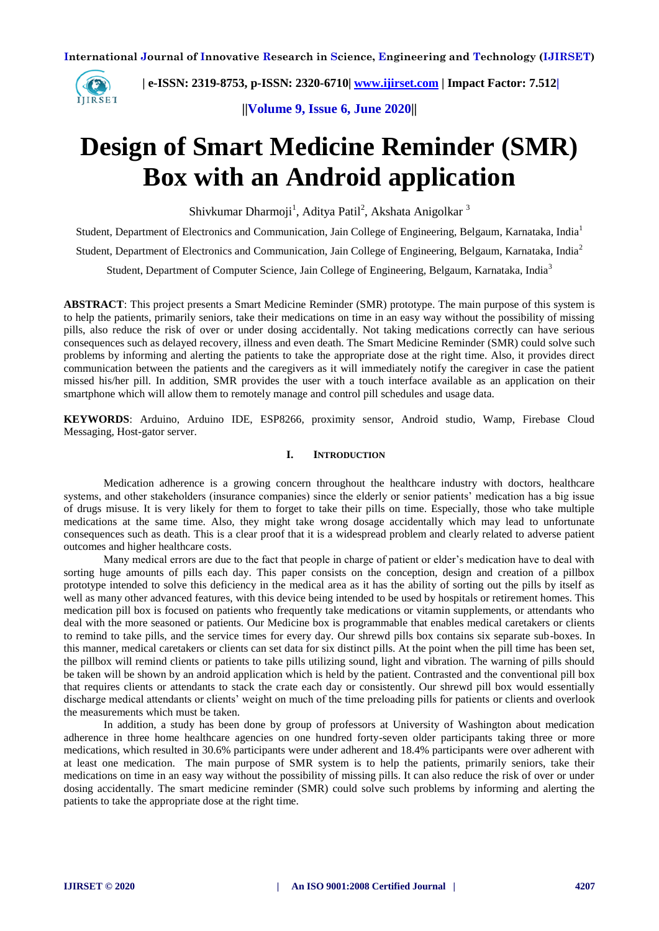

 **| e-ISSN: 2319-8753, p-ISSN: 2320-6710| [www.ijirset.com](http://www.ijirset.com/) | Impact Factor: 7.512|**

**||Volume 9, Issue 6, June 2020||** 

# **Design of Smart Medicine Reminder (SMR) Box with an Android application**

Shivkumar Dharmoji<sup>1</sup>, Aditya Patil<sup>2</sup>, Akshata Anigolkar <sup>3</sup>

Student, Department of Electronics and Communication, Jain College of Engineering, Belgaum, Karnataka, India<sup>1</sup>

Student, Department of Electronics and Communication, Jain College of Engineering, Belgaum, Karnataka, India<sup>2</sup>

Student, Department of Computer Science, Jain College of Engineering, Belgaum, Karnataka, India<sup>3</sup>

**ABSTRACT**: This project presents a Smart Medicine Reminder (SMR) prototype. The main purpose of this system is to help the patients, primarily seniors, take their medications on time in an easy way without the possibility of missing pills, also reduce the risk of over or under dosing accidentally. Not taking medications correctly can have serious consequences such as delayed recovery, illness and even death. The Smart Medicine Reminder (SMR) could solve such problems by informing and alerting the patients to take the appropriate dose at the right time. Also, it provides direct communication between the patients and the caregivers as it will immediately notify the caregiver in case the patient missed his/her pill. In addition, SMR provides the user with a touch interface available as an application on their smartphone which will allow them to remotely manage and control pill schedules and usage data.

**KEYWORDS**: Arduino, Arduino IDE, ESP8266, proximity sensor, Android studio, Wamp, Firebase Cloud Messaging, Host-gator server.

# **I. INTRODUCTION**

Medication adherence is a growing concern throughout the healthcare industry with doctors, healthcare systems, and other stakeholders (insurance companies) since the elderly or senior patients' medication has a big issue of drugs misuse. It is very likely for them to forget to take their pills on time. Especially, those who take multiple medications at the same time. Also, they might take wrong dosage accidentally which may lead to unfortunate consequences such as death. This is a clear proof that it is a widespread problem and clearly related to adverse patient outcomes and higher healthcare costs.

Many medical errors are due to the fact that people in charge of patient or elder's medication have to deal with sorting huge amounts of pills each day. This paper consists on the conception, design and creation of a pillbox prototype intended to solve this deficiency in the medical area as it has the ability of sorting out the pills by itself as well as many other advanced features, with this device being intended to be used by hospitals or retirement homes. This medication pill box is focused on patients who frequently take medications or vitamin supplements, or attendants who deal with the more seasoned or patients. Our Medicine box is programmable that enables medical caretakers or clients to remind to take pills, and the service times for every day. Our shrewd pills box contains six separate sub-boxes. In this manner, medical caretakers or clients can set data for six distinct pills. At the point when the pill time has been set, the pillbox will remind clients or patients to take pills utilizing sound, light and vibration. The warning of pills should be taken will be shown by an android application which is held by the patient. Contrasted and the conventional pill box that requires clients or attendants to stack the crate each day or consistently. Our shrewd pill box would essentially discharge medical attendants or clients' weight on much of the time preloading pills for patients or clients and overlook the measurements which must be taken.

In addition, a study has been done by group of professors at University of Washington about medication adherence in three home healthcare agencies on one hundred forty-seven older participants taking three or more medications, which resulted in 30.6% participants were under adherent and 18.4% participants were over adherent with at least one medication. The main purpose of SMR system is to help the patients, primarily seniors, take their medications on time in an easy way without the possibility of missing pills. It can also reduce the risk of over or under dosing accidentally. The smart medicine reminder (SMR) could solve such problems by informing and alerting the patients to take the appropriate dose at the right time.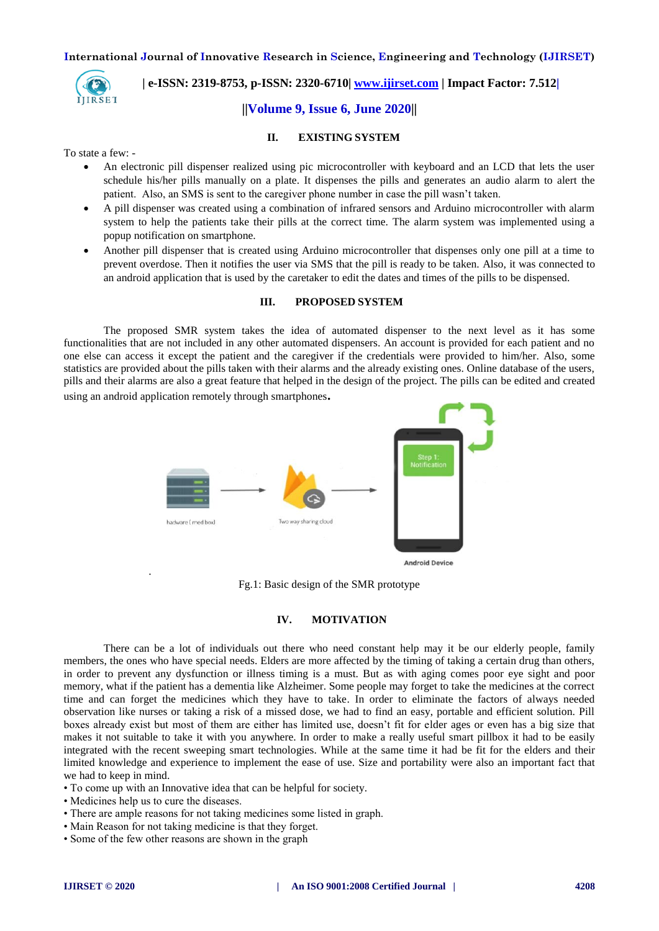

 **| e-ISSN: 2319-8753, p-ISSN: 2320-6710| [www.ijirset.com](http://www.ijirset.com/) | Impact Factor: 7.512|**

# **||Volume 9, Issue 6, June 2020||**

#### **II. EXISTING SYSTEM**

To state a few: -

- An electronic pill dispenser realized using pic microcontroller with keyboard and an LCD that lets the user schedule his/her pills manually on a plate. It dispenses the pills and generates an audio alarm to alert the patient. Also, an SMS is sent to the caregiver phone number in case the pill wasn't taken.
- A pill dispenser was created using a combination of infrared sensors and Arduino microcontroller with alarm system to help the patients take their pills at the correct time. The alarm system was implemented using a popup notification on smartphone.
- Another pill dispenser that is created using Arduino microcontroller that dispenses only one pill at a time to prevent overdose. Then it notifies the user via SMS that the pill is ready to be taken. Also, it was connected to an android application that is used by the caretaker to edit the dates and times of the pills to be dispensed.

#### **III. PROPOSED SYSTEM**

The proposed SMR system takes the idea of automated dispenser to the next level as it has some functionalities that are not included in any other automated dispensers. An account is provided for each patient and no one else can access it except the patient and the caregiver if the credentials were provided to him/her. Also, some statistics are provided about the pills taken with their alarms and the already existing ones. Online database of the users, pills and their alarms are also a great feature that helped in the design of the project. The pills can be edited and created using an android application remotely through smartphones**.**



Fg.1: Basic design of the SMR prototype

#### **IV. MOTIVATION**

There can be a lot of individuals out there who need constant help may it be our elderly people, family members, the ones who have special needs. Elders are more affected by the timing of taking a certain drug than others, in order to prevent any dysfunction or illness timing is a must. But as with aging comes poor eye sight and poor memory, what if the patient has a dementia like Alzheimer. Some people may forget to take the medicines at the correct time and can forget the medicines which they have to take. In order to eliminate the factors of always needed observation like nurses or taking a risk of a missed dose, we had to find an easy, portable and efficient solution. Pill boxes already exist but most of them are either has limited use, doesn't fit for elder ages or even has a big size that makes it not suitable to take it with you anywhere. In order to make a really useful smart pillbox it had to be easily integrated with the recent sweeping smart technologies. While at the same time it had be fit for the elders and their limited knowledge and experience to implement the ease of use. Size and portability were also an important fact that we had to keep in mind.

- To come up with an Innovative idea that can be helpful for society.
- Medicines help us to cure the diseases.

.

- There are ample reasons for not taking medicines some listed in graph.
- Main Reason for not taking medicine is that they forget.
- Some of the few other reasons are shown in the graph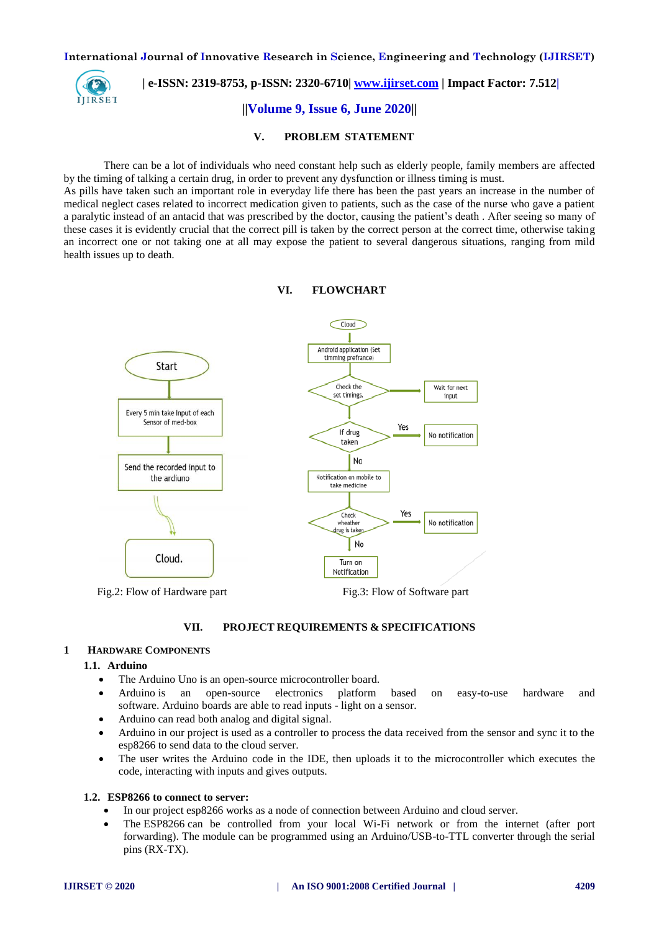

 **| e-ISSN: 2319-8753, p-ISSN: 2320-6710| [www.ijirset.com](http://www.ijirset.com/) | Impact Factor: 7.512|**

# **||Volume 9, Issue 6, June 2020||**

#### **V. PROBLEM STATEMENT**

There can be a lot of individuals who need constant help such as elderly people, family members are affected by the timing of talking a certain drug, in order to prevent any dysfunction or illness timing is must.

As pills have taken such an important role in everyday life there has been the past years an increase in the number of medical neglect cases related to incorrect medication given to patients, such as the case of the nurse who gave a patient a paralytic instead of an antacid that was prescribed by the doctor, causing the patient's death . After seeing so many of these cases it is evidently crucial that the correct pill is taken by the correct person at the correct time, otherwise taking an incorrect one or not taking one at all may expose the patient to several dangerous situations, ranging from mild health issues up to death.



#### **VI. FLOWCHART**

#### **VII. PROJECT REQUIREMENTS & SPECIFICATIONS**

#### **1 HARDWARE COMPONENTS**

#### **1.1. Arduino**

- The Arduino Uno is an open-source microcontroller board.
- Arduino is an open-source electronics platform based on easy-to-use hardware and software. Arduino boards are able to read inputs - light on a sensor.
- Arduino can read both analog and digital signal.
- Arduino in our project is used as a controller to process the data received from the sensor and sync it to the esp8266 to send data to the cloud server.
- The user writes the Arduino code in the IDE, then uploads it to the microcontroller which executes the code, interacting with inputs and gives outputs.

#### **1.2. ESP8266 to connect to server:**

- In our project esp8266 works as a node of connection between Arduino and cloud server.
- The ESP8266 can be controlled from your local Wi-Fi network or from the internet (after port forwarding). The module can be programmed using an Arduino/USB-to-TTL converter through the serial pins (RX-TX).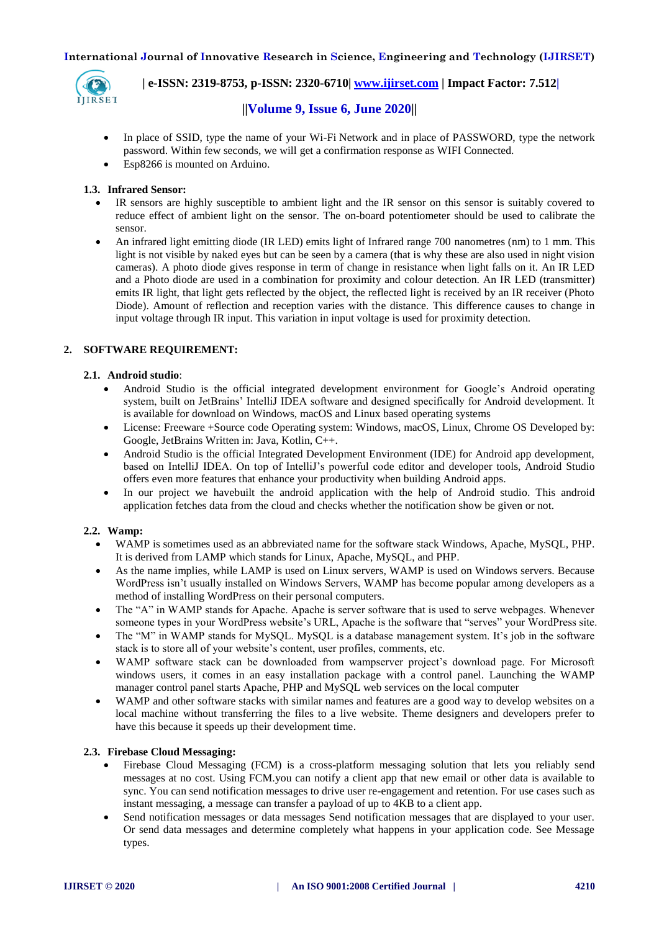

 **| e-ISSN: 2319-8753, p-ISSN: 2320-6710| [www.ijirset.com](http://www.ijirset.com/) | Impact Factor: 7.512|**

# **||Volume 9, Issue 6, June 2020||**

- In place of SSID, type the name of your Wi-Fi Network and in place of PASSWORD, type the network password. Within few seconds, we will get a confirmation response as WIFI Connected.
- Esp8266 is mounted on Arduino.

## **1.3. Infrared Sensor:**

- IR sensors are highly susceptible to ambient light and the IR sensor on this sensor is suitably covered to reduce effect of ambient light on the sensor. The on-board potentiometer should be used to calibrate the sensor.
- An infrared light emitting diode (IR LED) emits light of Infrared range 700 nanometres (nm) to 1 mm. This light is not visible by naked eyes but can be seen by a camera (that is why these are also used in night vision cameras). A photo diode gives response in term of change in resistance when light falls on it. An IR LED and a Photo diode are used in a combination for proximity and colour detection. An IR LED (transmitter) emits IR light, that light gets reflected by the object, the reflected light is received by an IR receiver (Photo Diode). Amount of reflection and reception varies with the distance. This difference causes to change in input voltage through IR input. This variation in input voltage is used for proximity detection.

# **2. SOFTWARE REQUIREMENT:**

## **2.1. Android studio**:

- Android Studio is the official integrated development environment for Google's Android operating system, built on JetBrains' IntelliJ IDEA software and designed specifically for Android development. It is available for download on Windows, macOS and Linux based operating systems
- License: Freeware +Source code Operating system: Windows, macOS, Linux, Chrome OS Developed by: Google, JetBrains Written in: Java, Kotlin, C++.
- Android Studio is the official Integrated Development Environment (IDE) for Android app development, based on IntelliJ IDEA. On top of IntelliJ's powerful code editor and developer tools, Android Studio offers even more features that enhance your productivity when building Android apps.
- In our project we havebuilt the android application with the help of Android studio. This android application fetches data from the cloud and checks whether the notification show be given or not.

## **2.2. Wamp:**

- WAMP is sometimes used as an abbreviated name for the software stack Windows, Apache, MySQL, PHP. It is derived from LAMP which stands for Linux, Apache, MySQL, and PHP.
- As the name implies, while LAMP is used on Linux servers, WAMP is used on Windows servers. Because WordPress isn't usually installed on Windows Servers, WAMP has become popular among developers as a method of installing WordPress on their personal computers.
- The "A" in WAMP stands for Apache. Apache is server software that is used to serve webpages. Whenever someone types in your WordPress website's URL, Apache is the software that "serves" your WordPress site.
- The "M" in WAMP stands for MySQL. MySQL is a database management system. It's job in the software stack is to store all of your website's content, user profiles, comments, etc.
- WAMP software stack can be downloaded from wampserver project's download page. For Microsoft windows users, it comes in an easy installation package with a control panel. Launching the WAMP manager control panel starts Apache, PHP and MySQL web services on the local computer
- WAMP and other software stacks with similar names and features are a good way to develop websites on a local machine without transferring the files to a live website. Theme designers and developers prefer to have this because it speeds up their development time.

## **2.3. Firebase Cloud Messaging:**

- Firebase Cloud Messaging (FCM) is a cross-platform messaging solution that lets you reliably send messages at no cost. Using FCM.you can notify a client app that new email or other data is available to sync. You can send notification messages to drive user re-engagement and retention. For use cases such as instant messaging, a message can transfer a payload of up to 4KB to a client app.
- Send notification messages or data messages Send notification messages that are displayed to your user. Or send data messages and determine completely what happens in your application code. See Message types.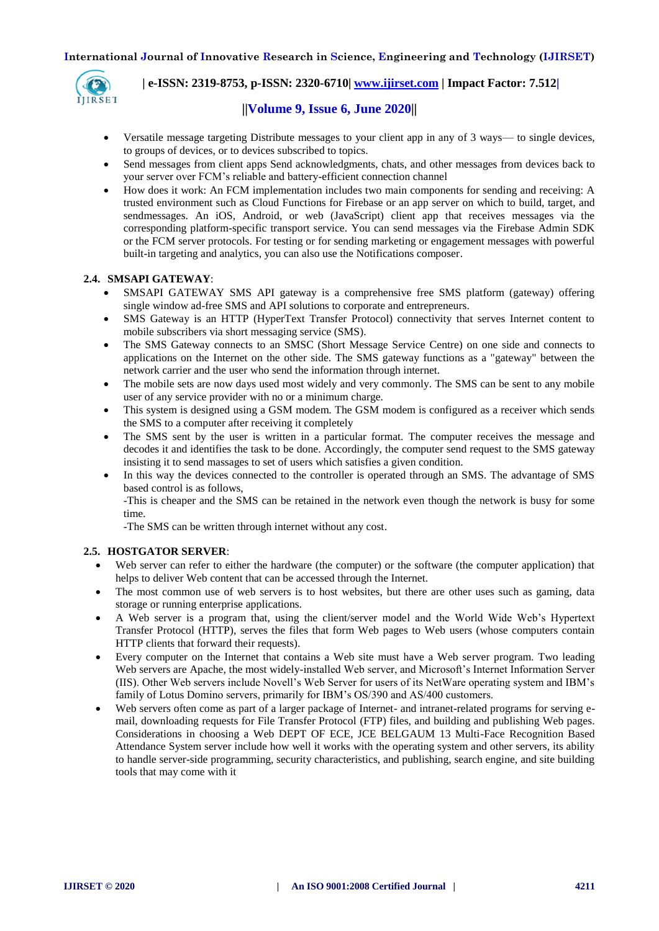

# **| e-ISSN: 2319-8753, p-ISSN: 2320-6710| [www.ijirset.com](http://www.ijirset.com/) | Impact Factor: 7.512|**

# **||Volume 9, Issue 6, June 2020||**

- Versatile message targeting Distribute messages to your client app in any of 3 ways— to single devices, to groups of devices, or to devices subscribed to topics.
- Send messages from client apps Send acknowledgments, chats, and other messages from devices back to your server over FCM's reliable and battery-efficient connection channel
- How does it work: An FCM implementation includes two main components for sending and receiving: A trusted environment such as Cloud Functions for Firebase or an app server on which to build, target, and sendmessages. An iOS, Android, or web (JavaScript) client app that receives messages via the corresponding platform-specific transport service. You can send messages via the Firebase Admin SDK or the FCM server protocols. For testing or for sending marketing or engagement messages with powerful built-in targeting and analytics, you can also use the Notifications composer.

## **2.4. SMSAPI GATEWAY**:

- SMSAPI GATEWAY SMS API gateway is a comprehensive free SMS platform (gateway) offering single window ad-free SMS and API solutions to corporate and entrepreneurs.
- SMS Gateway is an HTTP (HyperText Transfer Protocol) connectivity that serves Internet content to mobile subscribers via short messaging service (SMS).
- The SMS Gateway connects to an SMSC (Short Message Service Centre) on one side and connects to applications on the Internet on the other side. The SMS gateway functions as a "gateway" between the network carrier and the user who send the information through internet.
- The mobile sets are now days used most widely and very commonly. The SMS can be sent to any mobile user of any service provider with no or a minimum charge.
- This system is designed using a GSM modem. The GSM modem is configured as a receiver which sends the SMS to a computer after receiving it completely
- The SMS sent by the user is written in a particular format. The computer receives the message and decodes it and identifies the task to be done. Accordingly, the computer send request to the SMS gateway insisting it to send massages to set of users which satisfies a given condition.
- In this way the devices connected to the controller is operated through an SMS. The advantage of SMS based control is as follows,

-This is cheaper and the SMS can be retained in the network even though the network is busy for some time.

-The SMS can be written through internet without any cost.

## **2.5. HOSTGATOR SERVER**:

- Web server can refer to either the hardware (the computer) or the software (the computer application) that helps to deliver Web content that can be accessed through the Internet.
- The most common use of web servers is to host websites, but there are other uses such as gaming, data storage or running enterprise applications.
- A Web server is a program that, using the client/server model and the World Wide Web's Hypertext Transfer Protocol (HTTP), serves the files that form Web pages to Web users (whose computers contain HTTP clients that forward their requests).
- Every computer on the Internet that contains a Web site must have a Web server program. Two leading Web servers are Apache, the most widely-installed Web server, and Microsoft's Internet Information Server (IIS). Other Web servers include Novell's Web Server for users of its NetWare operating system and IBM's family of Lotus Domino servers, primarily for IBM's OS/390 and AS/400 customers.
- Web servers often come as part of a larger package of Internet- and intranet-related programs for serving email, downloading requests for File Transfer Protocol (FTP) files, and building and publishing Web pages. Considerations in choosing a Web DEPT OF ECE, JCE BELGAUM 13 Multi-Face Recognition Based Attendance System server include how well it works with the operating system and other servers, its ability to handle server-side programming, security characteristics, and publishing, search engine, and site building tools that may come with it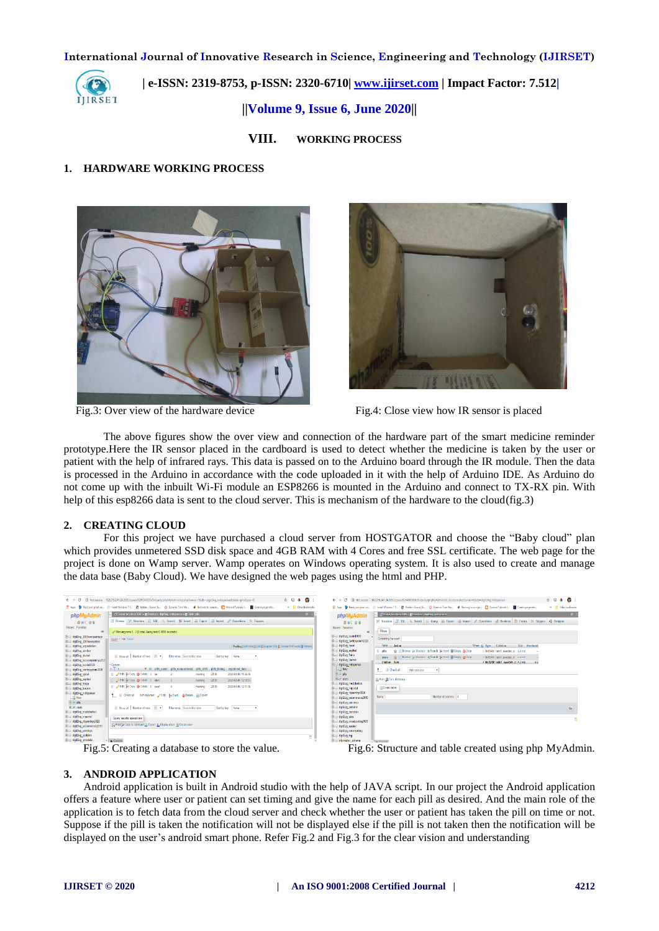

 **| e-ISSN: 2319-8753, p-ISSN: 2320-6710| [www.ijirset.com](http://www.ijirset.com/) | Impact Factor: 7.512|**

**||Volume 9, Issue 6, June 2020||** 

**VIII. WORKING PROCESS**

#### **1. HARDWARE WORKING PROCESS**





Fig.3: Over view of the hardware device Fig.4: Close view how IR sensor is placed

The above figures show the over view and connection of the hardware part of the smart medicine reminder prototype.Here the IR sensor placed in the cardboard is used to detect whether the medicine is taken by the user or patient with the help of infrared rays. This data is passed on to the Arduino board through the IR module. Then the data is processed in the Arduino in accordance with the code uploaded in it with the help of Arduino IDE. As Arduino do not come up with the inbuilt Wi-Fi module an ESP8266 is mounted in the Arduino and connect to TX-RX pin. With help of this esp8266 data is sent to the cloud server. This is mechanism of the hardware to the cloud(fig.3)

#### **2. CREATING CLOUD**

For this project we have purchased a cloud server from HOSTGATOR and choose the "Baby cloud" plan which provides unmetered SSD disk space and 4GB RAM with 4 Cores and free SSL certificate. The web page for the project is done on Wamp server. Wamp operates on Windows operating system. It is also used to create and manage the data base (Baby Cloud). We have designed the web pages using the html and PHP.

| 立 网<br>0 Not secure 162,215,241,24:2082/cosess9284960036/3rdoarty/phoMvAdmin/sol.php?server=18db=digit2wg mdispenser8ctable=pills8.pos=0<br>c                                                                                                                                                                                                                                                                                                                                                                                                                                                                                                                                                                                                                                                                                                                                                                                                                                                                                                                                                                                                                                                                                                                                                                                                                                                                                                                                                                                                                                                                                                                                                    | e :<br>$\bullet$<br>C 1 162.215.241.24.2032/cpsess9284960036/3rdparty/php<br>$\leftarrow$ $\rightarrow$                                                                                                                                                                                                                                                                                                                                                                                                                                                                                                                                                                                                                                                                                                                                                                                                                                                                                         |
|--------------------------------------------------------------------------------------------------------------------------------------------------------------------------------------------------------------------------------------------------------------------------------------------------------------------------------------------------------------------------------------------------------------------------------------------------------------------------------------------------------------------------------------------------------------------------------------------------------------------------------------------------------------------------------------------------------------------------------------------------------------------------------------------------------------------------------------------------------------------------------------------------------------------------------------------------------------------------------------------------------------------------------------------------------------------------------------------------------------------------------------------------------------------------------------------------------------------------------------------------------------------------------------------------------------------------------------------------------------------------------------------------------------------------------------------------------------------------------------------------------------------------------------------------------------------------------------------------------------------------------------------------------------------------------------------------|-------------------------------------------------------------------------------------------------------------------------------------------------------------------------------------------------------------------------------------------------------------------------------------------------------------------------------------------------------------------------------------------------------------------------------------------------------------------------------------------------------------------------------------------------------------------------------------------------------------------------------------------------------------------------------------------------------------------------------------------------------------------------------------------------------------------------------------------------------------------------------------------------------------------------------------------------------------------------------------------------|
| <b>Q</b> Restinguramalusi, (R) Install Windows 7 E. @ Mattab - Sound (&., C) Dynamic Time War. 4 Restwar to concor. (3) Android Tutorials f., (B) Creating a penetic.<br>HE Apos                                                                                                                                                                                                                                                                                                                                                                                                                                                                                                                                                                                                                                                                                                                                                                                                                                                                                                                                                                                                                                                                                                                                                                                                                                                                                                                                                                                                                                                                                                                 | » <b>Il</b> Other bookmarks<br>E Apps <sup>8</sup> Rechost creatistic (R) Install Windows 7.5. @ Matteb-Sound (8., C)                                                                                                                                                                                                                                                                                                                                                                                                                                                                                                                                                                                                                                                                                                                                                                                                                                                                           |
| of Sover localiset 3305 » @ Batabase digit2eq morgenese » @ Table: pilit<br>phpMyAdmin<br>Browse / Structure J. SQL 4, Search 34 Insert 4 Export 4 Import / Operations 35 Triggers<br>$A \oplus C \oplus C$<br>Recent Executes<br>√ Showing rous 0 - 2 (3 tstal, Quary took 0,0005 seconds.)<br>ELE dgt2wg 2019complaintsys<br>secret + mov "ptills"<br>dol2+o 2019sessetem<br>digizing agrediction<br>Profileg [Edit Inline] [Edit] [ Explain SQL] [ Create PHP code ] [ Refresh]<br>ELE digit2eg_aimbot<br>dol2eg alumni<br>Show all Number of rows: 25 *<br>Filter mos: Search this table<br>Sort by key: None<br>digi2eg bczcomplaintsys202<br>E-C dgt2eg bcabD120<br>+ Options<br>$\sqrt{1}$<br>v id pills name pills compartment<br>pils shift pils tining<br>registered date<br>digit2eg centresystem2020<br>El 2 Edit Bi Cepy @ Delete 3 de<br>digit2eg_opeol<br>2020-04-05 11:35:05<br>2239<br>moming<br>EL dol2eo esplest<br><b>B</b> 2 Edit Se Cepy @ Delete 4 efect<br>2020-04-05 12:03:23<br>22:39<br>moming<br>Bill digt2eg fonce<br>El <b>PEdi Sé Copy @ Delete</b> 5 ewal<br>22:39<br>2020-04-05 12:11:05<br>moming<br>EL dgt2+g_bavam<br>Gill dgl2eg mdspenser<br>1 El Check al With palected: PEdit \$4 Copy @ Dolete @ Export<br><b>MA</b> New<br><b>Biofists</b><br><b>B.Muses</b><br>El Show all   Number of rows: 25 Y<br>Filter rows: Search this table<br>Sort by key: None<br>digit2eg medichatbet<br>B-III dol2eg mportal<br>Query results operations<br>dol2eg nisatninp2020<br>C Print 34 Copy to clipboard (2) Export (6) Display chart (3) Create view<br>dgl2eg_pecommerce2019<br>B-C digit2eg petroloys<br>dol2+g pertainm<br>Hill dgl2eg grodele<br>v B Console | 0 <sub>x</sub><br>12 Seven loadbed 3005 x 10 Malays (fight)<br>phpMyAdmin<br>M Structure 3 SQL 4 Search 6 1<br>0.9096<br>Recent Farontes<br>Filters<br>49<br>Bill dgi2ug bats12020<br>Containing the toold:<br>digit2ug certrysystem2020<br>Table - Action<br>dgiving cool<br>dgl2vg esplest<br>the III Browse (at Structure (ig 5<br><b>Ellipills</b><br><b>E. dollar force</b><br>me in Browse in Structure in §<br>users:<br>digiting bayers<br><b>2tables</b> Sum<br>dgl2ug indsperser<br>$\Box$ New<br>1 <b>Chock all</b><br>With selected<br><b>Elizabets</b><br><b>Wind users</b><br><b>G</b> Print & Data dictionary<br>digiting medichatbot<br>Create table<br><b>E-Il dgl2vg mpotal</b><br>digit2ug nisaminp/2020<br>Name:<br>dgiving pecommerce2019<br>E-II dol2vn petrdsys<br>dgi2vg cetalmr<br>dgi2vg_crodeli:<br>dgl2vg sbh<br>dgil/uq snatpaking/020<br><b>E-Il doli?vg sportal</b><br>digizing sukanyableg<br>art gróng má<br>ē<br>B-II information_schema<br><b>C. Passade</b> |

 $\frac{1}{4}$ 

Fig.5: Creating a database to store the value. Fig.6: Structure and table created using php MyAdmin.

## **3. ANDROID APPLICATION**

Android application is built in Android studio with the help of JAVA script. In our project the Android application offers a feature where user or patient can set timing and give the name for each pill as desired. And the main role of the application is to fetch data from the cloud server and check whether the user or patient has taken the pill on time or not. Suppose if the pill is taken the notification will not be displayed else if the pill is not taken then the notification will be displayed on the user's android smart phone. Refer Fig.2 and Fig.3 for the clear vision and understanding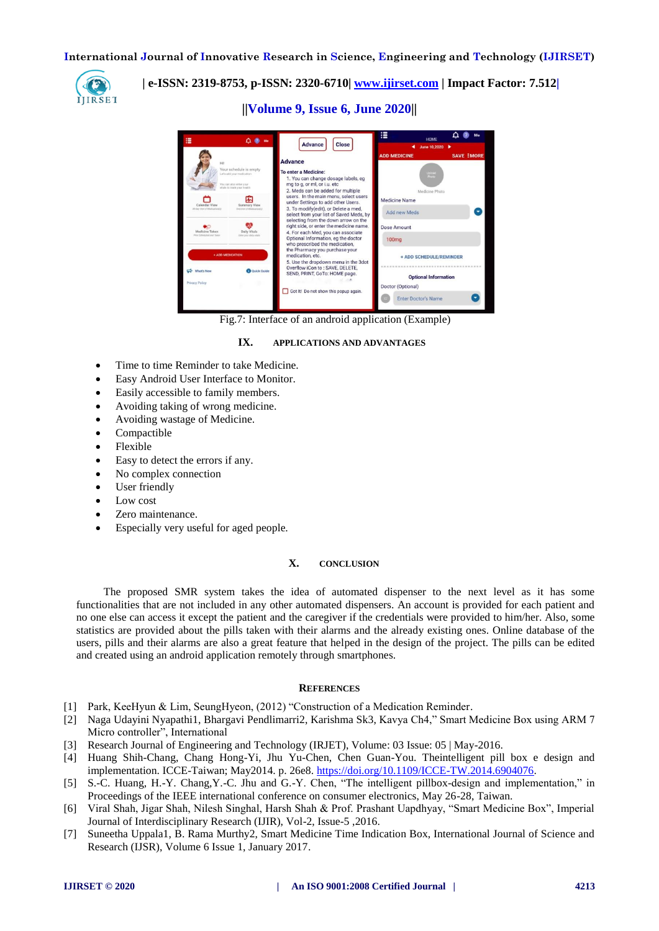

 **| e-ISSN: 2319-8753, p-ISSN: 2320-6710| [www.ijirset.com](http://www.ijirset.com/) | Impact Factor: 7.512|**

**||Volume 9, Issue 6, June 2020||** 



Fig.7: Interface of an android application (Example)

#### **IX. APPLICATIONS AND ADVANTAGES**

- Time to time Reminder to take Medicine.
- Easy Android User Interface to Monitor.
- Easily accessible to family members.
- Avoiding taking of wrong medicine.
- Avoiding wastage of Medicine.
- Compactible
- Flexible
- Easy to detect the errors if any.
- No complex connection
- User friendly
- Low cost
- Zero maintenance.
- Especially very useful for aged people.

# **X. CONCLUSION**

The proposed SMR system takes the idea of automated dispenser to the next level as it has some functionalities that are not included in any other automated dispensers. An account is provided for each patient and no one else can access it except the patient and the caregiver if the credentials were provided to him/her. Also, some statistics are provided about the pills taken with their alarms and the already existing ones. Online database of the users, pills and their alarms are also a great feature that helped in the design of the project. The pills can be edited and created using an android application remotely through smartphones.

#### **REFERENCES**

- [1] Park, KeeHyun & Lim, SeungHyeon, (2012) "Construction of a Medication Reminder.
- [2] Naga Udayini Nyapathi1, Bhargavi Pendlimarri2, Karishma Sk3, Kavya Ch4," Smart Medicine Box using ARM 7 Micro controller", International
- [3] Research Journal of Engineering and Technology (IRJET), Volume: 03 Issue: 05 | May-2016.
- [4] Huang Shih-Chang, Chang Hong-Yi, Jhu Yu-Chen, Chen Guan-You. Theintelligent pill box e design and implementation. ICCE-Taiwan; May2014. p. 26e8. [https://doi.org/10.1109/ICCE-TW.2014.6904076.](https://doi.org/10.1109/ICCE-TW.2014.6904076)
- [5] S.-C. Huang, H.-Y. Chang,Y.-C. Jhu and G.-Y. Chen, "The intelligent pillbox-design and implementation," in Proceedings of the IEEE international conference on consumer electronics, May 26-28, Taiwan.
- [6] Viral Shah, Jigar Shah, Nilesh Singhal, Harsh Shah & Prof. Prashant Uapdhyay, "Smart Medicine Box", Imperial Journal of Interdisciplinary Research (IJIR), Vol-2, Issue-5 ,2016.
- [7] Suneetha Uppala1, B. Rama Murthy2, Smart Medicine Time Indication Box, International Journal of Science and Research (IJSR), Volume 6 Issue 1, January 2017.